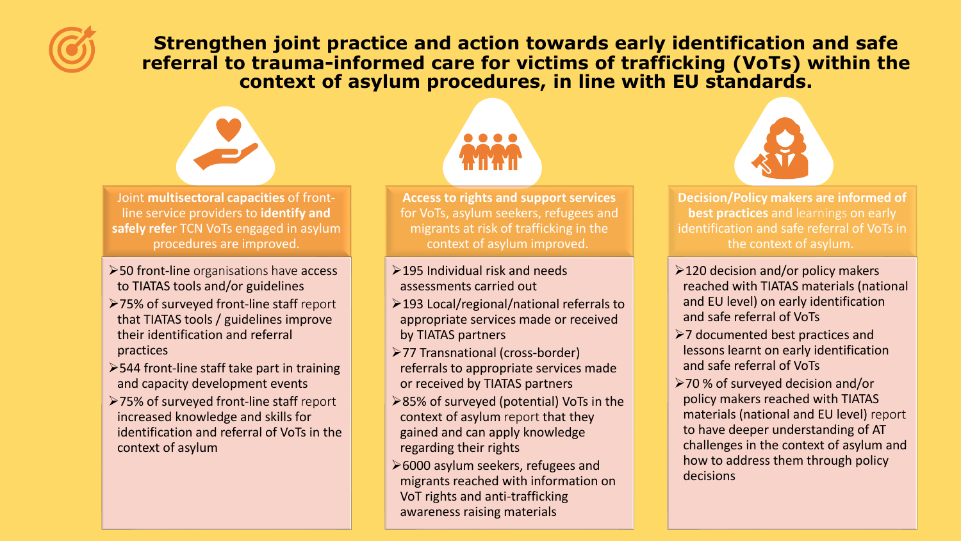

**Strengthen joint practice and action towards early identification and safe referral to trauma-informed care for victims of trafficking (VoTs) within the context of asylum procedures, in line with EU standards.** 



Joint **multisectoral capacities** of frontline service providers to **identify and safely refe**r TCN VoTs engaged in asylum procedures are improved.

- ➢50 front-line organisations have access to TIATAS tools and/or guidelines
- ➢75% of surveyed front-line staff report that TIATAS tools / guidelines improve their identification and referral practices
- ➢544 front-line staff take part in training and capacity development events
- ➢75% of surveyed front-line staff report increased knowledge and skills for identification and referral of VoTs in the context of asylum



**Access to rights and support services**  for VoTs, asylum seekers, refugees and migrants at risk of trafficking in the context of asylum improved.

- $\geq$ 195 Individual risk and needs assessments carried out
- ➢193 Local/regional/national referrals to appropriate services made or received by TIATAS partners
- ➢77 Transnational (cross-border) referrals to appropriate services made or received by TIATAS partners
- ➢85% of surveyed (potential) VoTs in the context of asylum report that they gained and can apply knowledge regarding their rights
- ➢6000 asylum seekers, refugees and migrants reached with information on VoT rights and anti-trafficking awareness raising materials



**Decision/Policy makers are informed of best practices** and learnings on early identification and safe referral of VoTs in the context of asylum.

- ➢120 decision and/or policy makers reached with TIATAS materials (national and EU level) on early identification and safe referral of VoTs
- ➢7 documented best practices and lessons learnt on early identification and safe referral of VoTs
- ➢70 % of surveyed decision and/or policy makers reached with TIATAS materials (national and EU level) report to have deeper understanding of AT challenges in the context of asylum and how to address them through policy decisions